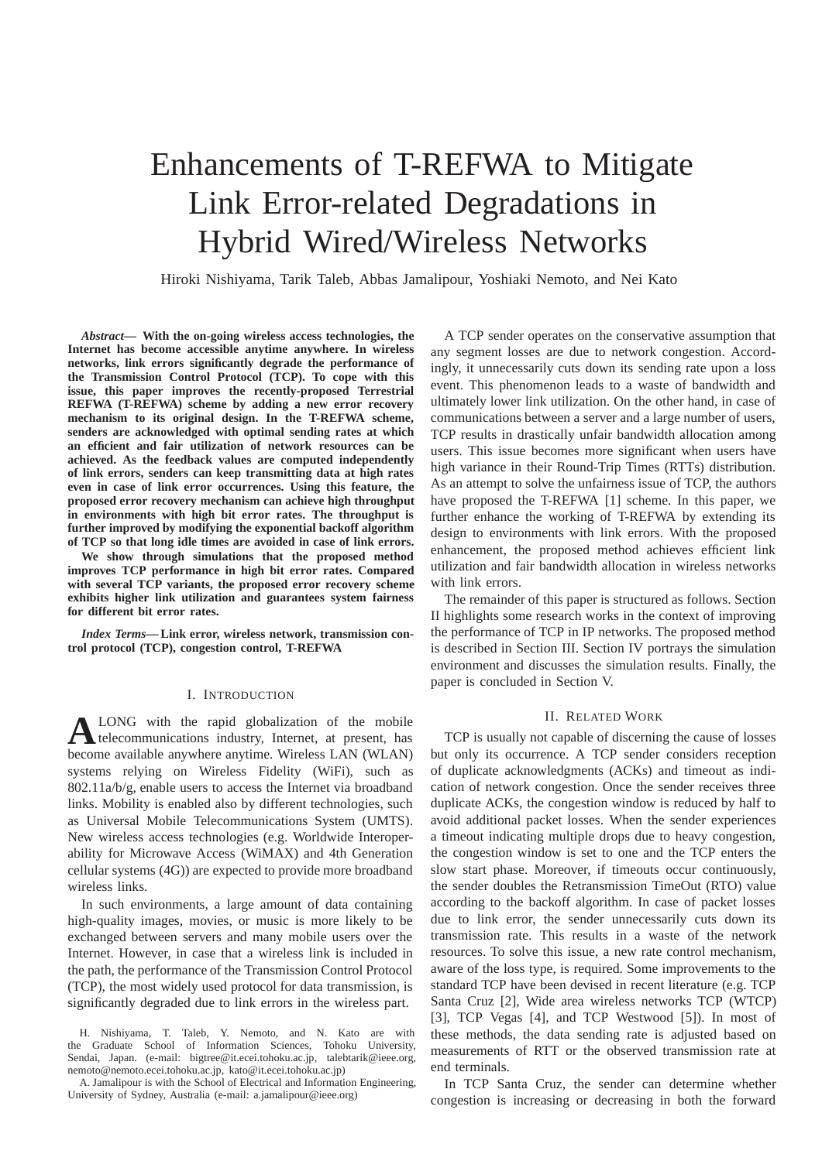# Enhancements of T-REFWA to Mitigate Link Error-related Degradations in Hybrid Wired/Wireless Networks

Hiroki Nishiyama, Tarik Taleb, Abbas Jamalipour, Yoshiaki Nemoto, and Nei Kato

*Abstract***— With the on-going wireless access technologies, the Internet has become accessible anytime anywhere. In wireless networks, link errors significantly degrade the performance of the Transmission Control Protocol (TCP). To cope with this issue, this paper improves the recently-proposed Terrestrial REFWA (T-REFWA) scheme by adding a new error recovery mechanism to its original design. In the T-REFWA scheme, senders are acknowledged with optimal sending rates at which an efficient and fair utilization of network resources can be achieved. As the feedback values are computed independently of link errors, senders can keep transmitting data at high rates even in case of link error occurrences. Using this feature, the proposed error recovery mechanism can achieve high throughput in environments with high bit error rates. The throughput is further improved by modifying the exponential backoff algorithm of TCP so that long idle times are avoided in case of link errors.**

**We show through simulations that the proposed method improves TCP performance in high bit error rates. Compared with several TCP variants, the proposed error recovery scheme exhibits higher link utilization and guarantees system fairness for different bit error rates.**

*Index Terms***— Link error, wireless network, transmission control protocol (TCP), congestion control, T-REFWA**

## I. INTRODUCTION

**A**LONG with the rapid globalization of the mobile<br>telecommunications industry, Internet, at present, has become available anywhere anytime. Wireless LAN (WLAN) systems relying on Wireless Fidelity (WiFi), such as 802.11a/b/g, enable users to access the Internet via broadband links. Mobility is enabled also by different technologies, such as Universal Mobile Telecommunications System (UMTS). New wireless access technologies (e.g. Worldwide Interoperability for Microwave Access (WiMAX) and 4th Generation cellular systems (4G)) are expected to provide more broadband wireless links.

In such environments, a large amount of data containing high-quality images, movies, or music is more likely to be exchanged between servers and many mobile users over the Internet. However, in case that a wireless link is included in the path, the performance of the Transmission Control Protocol (TCP), the most widely used protocol for data transmission, is significantly degraded due to link errors in the wireless part.

H. Nishiyama, T. Taleb, Y. Nemoto, and N. Kato are with the Graduate School of Information Sciences, Tohoku University, Sendai, Japan. (e-mail: bigtree@it.ecei.tohoku.ac.jp, talebtarik@ieee.org, nemoto@nemoto.ecei.tohoku.ac.jp, kato@it.ecei.tohoku.ac.jp)

A. Jamalipour is with the School of Electrical and Information Engineering, University of Sydney, Australia (e-mail: a.jamalipour@ieee.org)

A TCP sender operates on the conservative assumption that any segment losses are due to network congestion. Accordingly, it unnecessarily cuts down its sending rate upon a loss event. This phenomenon leads to a waste of bandwidth and ultimately lower link utilization. On the other hand, in case of communications between a server and a large number of users, TCP results in drastically unfair bandwidth allocation among users. This issue becomes more significant when users have high variance in their Round-Trip Times (RTTs) distribution. As an attempt to solve the unfairness issue of TCP, the authors have proposed the T-REFWA [1] scheme. In this paper, we further enhance the working of T-REFWA by extending its design to environments with link errors. With the proposed enhancement, the proposed method achieves efficient link utilization and fair bandwidth allocation in wireless networks with link errors.

The remainder of this paper is structured as follows. Section II highlights some research works in the context of improving the performance of TCP in IP networks. The proposed method is described in Section III. Section IV portrays the simulation environment and discusses the simulation results. Finally, the paper is concluded in Section V.

## II. RELATED WORK

TCP is usually not capable of discerning the cause of losses but only its occurrence. A TCP sender considers reception of duplicate acknowledgments (ACKs) and timeout as indication of network congestion. Once the sender receives three duplicate ACKs, the congestion window is reduced by half to avoid additional packet losses. When the sender experiences a timeout indicating multiple drops due to heavy congestion, the congestion window is set to one and the TCP enters the slow start phase. Moreover, if timeouts occur continuously, the sender doubles the Retransmission TimeOut (RTO) value according to the backoff algorithm. In case of packet losses due to link error, the sender unnecessarily cuts down its transmission rate. This results in a waste of the network resources. To solve this issue, a new rate control mechanism, aware of the loss type, is required. Some improvements to the standard TCP have been devised in recent literature (e.g. TCP Santa Cruz [2], Wide area wireless networks TCP (WTCP) [3], TCP Vegas [4], and TCP Westwood [5]). In most of these methods, the data sending rate is adjusted based on measurements of RTT or the observed transmission rate at end terminals.

In TCP Santa Cruz, the sender can determine whether congestion is increasing or decreasing in both the forward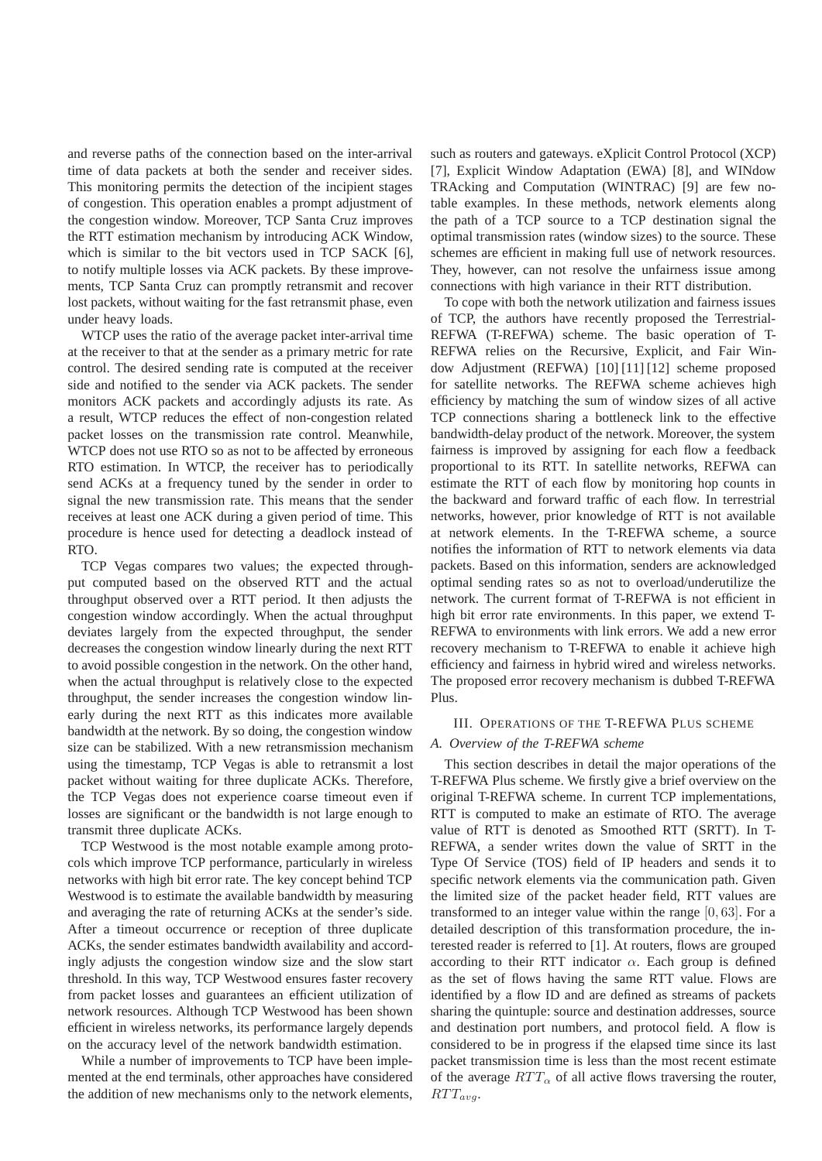and reverse paths of the connection based on the inter-arrival time of data packets at both the sender and receiver sides. This monitoring permits the detection of the incipient stages of congestion. This operation enables a prompt adjustment of the congestion window. Moreover, TCP Santa Cruz improves the RTT estimation mechanism by introducing ACK Window, which is similar to the bit vectors used in TCP SACK [6], to notify multiple losses via ACK packets. By these improvements, TCP Santa Cruz can promptly retransmit and recover lost packets, without waiting for the fast retransmit phase, even under heavy loads.

WTCP uses the ratio of the average packet inter-arrival time at the receiver to that at the sender as a primary metric for rate control. The desired sending rate is computed at the receiver side and notified to the sender via ACK packets. The sender monitors ACK packets and accordingly adjusts its rate. As a result, WTCP reduces the effect of non-congestion related packet losses on the transmission rate control. Meanwhile, WTCP does not use RTO so as not to be affected by erroneous RTO estimation. In WTCP, the receiver has to periodically send ACKs at a frequency tuned by the sender in order to signal the new transmission rate. This means that the sender receives at least one ACK during a given period of time. This procedure is hence used for detecting a deadlock instead of RTO.

TCP Vegas compares two values; the expected throughput computed based on the observed RTT and the actual throughput observed over a RTT period. It then adjusts the congestion window accordingly. When the actual throughput deviates largely from the expected throughput, the sender decreases the congestion window linearly during the next RTT to avoid possible congestion in the network. On the other hand, when the actual throughput is relatively close to the expected throughput, the sender increases the congestion window linearly during the next RTT as this indicates more available bandwidth at the network. By so doing, the congestion window size can be stabilized. With a new retransmission mechanism using the timestamp, TCP Vegas is able to retransmit a lost packet without waiting for three duplicate ACKs. Therefore, the TCP Vegas does not experience coarse timeout even if losses are significant or the bandwidth is not large enough to transmit three duplicate ACKs.

TCP Westwood is the most notable example among protocols which improve TCP performance, particularly in wireless networks with high bit error rate. The key concept behind TCP Westwood is to estimate the available bandwidth by measuring and averaging the rate of returning ACKs at the sender's side. After a timeout occurrence or reception of three duplicate ACKs, the sender estimates bandwidth availability and accordingly adjusts the congestion window size and the slow start threshold. In this way, TCP Westwood ensures faster recovery from packet losses and guarantees an efficient utilization of network resources. Although TCP Westwood has been shown efficient in wireless networks, its performance largely depends on the accuracy level of the network bandwidth estimation.

While a number of improvements to TCP have been implemented at the end terminals, other approaches have considered the addition of new mechanisms only to the network elements,

such as routers and gateways. eXplicit Control Protocol (XCP) [7], Explicit Window Adaptation (EWA) [8], and WINdow TRAcking and Computation (WINTRAC) [9] are few notable examples. In these methods, network elements along the path of a TCP source to a TCP destination signal the optimal transmission rates (window sizes) to the source. These schemes are efficient in making full use of network resources. They, however, can not resolve the unfairness issue among connections with high variance in their RTT distribution.

To cope with both the network utilization and fairness issues of TCP, the authors have recently proposed the Terrestrial-REFWA (T-REFWA) scheme. The basic operation of T-REFWA relies on the Recursive, Explicit, and Fair Window Adjustment (REFWA) [10] [11] [12] scheme proposed for satellite networks. The REFWA scheme achieves high efficiency by matching the sum of window sizes of all active TCP connections sharing a bottleneck link to the effective bandwidth-delay product of the network. Moreover, the system fairness is improved by assigning for each flow a feedback proportional to its RTT. In satellite networks, REFWA can estimate the RTT of each flow by monitoring hop counts in the backward and forward traffic of each flow. In terrestrial networks, however, prior knowledge of RTT is not available at network elements. In the T-REFWA scheme, a source notifies the information of RTT to network elements via data packets. Based on this information, senders are acknowledged optimal sending rates so as not to overload/underutilize the network. The current format of T-REFWA is not efficient in high bit error rate environments. In this paper, we extend T-REFWA to environments with link errors. We add a new error recovery mechanism to T-REFWA to enable it achieve high efficiency and fairness in hybrid wired and wireless networks. The proposed error recovery mechanism is dubbed T-REFWA Plus.

#### III. OPERATIONS OF THE T-REFWA PLUS SCHEME

#### *A. Overview of the T-REFWA scheme*

This section describes in detail the major operations of the T-REFWA Plus scheme. We firstly give a brief overview on the original T-REFWA scheme. In current TCP implementations, RTT is computed to make an estimate of RTO. The average value of RTT is denoted as Smoothed RTT (SRTT). In T-REFWA, a sender writes down the value of SRTT in the Type Of Service (TOS) field of IP headers and sends it to specific network elements via the communication path. Given the limited size of the packet header field, RTT values are transformed to an integer value within the range [0, 63]. For a detailed description of this transformation procedure, the interested reader is referred to [1]. At routers, flows are grouped according to their RTT indicator  $\alpha$ . Each group is defined as the set of flows having the same RTT value. Flows are identified by a flow ID and are defined as streams of packets sharing the quintuple: source and destination addresses, source and destination port numbers, and protocol field. A flow is considered to be in progress if the elapsed time since its last packet transmission time is less than the most recent estimate of the average  $RTT_{\alpha}$  of all active flows traversing the router,  $RTT_{avg}.$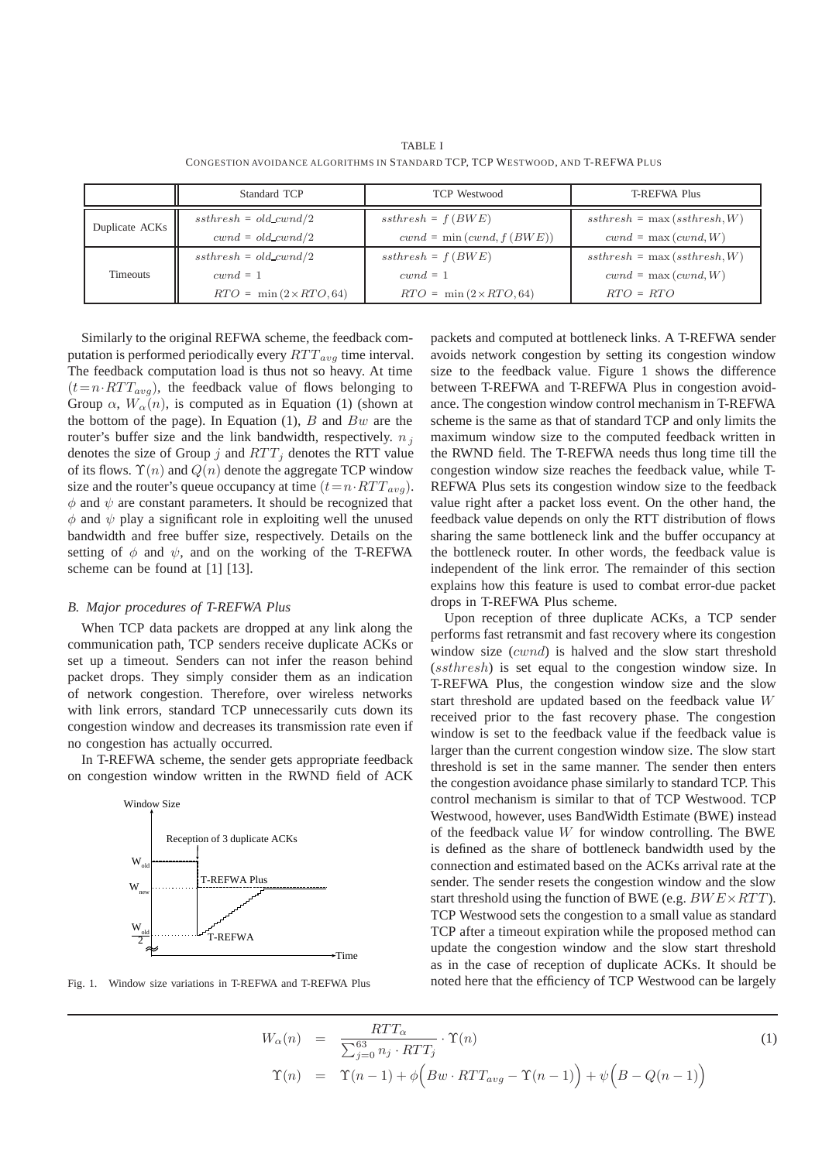|                 | Standard TCP                   | <b>TCP</b> Westwood            | <b>T-REFWA Plus</b>            |
|-----------------|--------------------------------|--------------------------------|--------------------------------|
| Duplicate ACKs  | $ssthresh = old\_cwnd/2$       | $ssthresh = f(BWE)$            | $ssthresh = \max(ssthresh, W)$ |
|                 | $cwnd = old_cwnd/2$            | $cwnd = \min(cwnd, f(BWE))$    | $cwnd = \max(cwnd, W)$         |
| <b>Timeouts</b> | $ssthresh = old_cwnd/2$        | $ssthresh = f(BWE)$            | $ssthresh = \max(ssthresh, W)$ |
|                 | $cwnd = 1$                     | $cwnd = 1$                     | $cwnd = \max(cwnd, W)$         |
|                 | $RTO = \min(2 \times RTO, 64)$ | $RTO = \min(2 \times RTO, 64)$ | $RTO = RTO$                    |

TABLE I CONGESTION AVOIDANCE ALGORITHMS IN STANDARD TCP, TCP WESTWOOD, AND T-REFWA PLUS

Similarly to the original REFWA scheme, the feedback computation is performed periodically every  $RTT_{avg}$  time interval. The feedback computation load is thus not so heavy. At time  $(t=n \cdot RTT_{avg})$ , the feedback value of flows belonging to Group  $\alpha$ ,  $W_{\alpha}(n)$ , is computed as in Equation (1) (shown at the bottom of the page). In Equation (1),  $B$  and  $Bw$  are the router's buffer size and the link bandwidth, respectively.  $n_i$ denotes the size of Group j and  $RTT_i$  denotes the RTT value of its flows.  $\Upsilon(n)$  and  $Q(n)$  denote the aggregate TCP window size and the router's queue occupancy at time  $(t=n \cdot RTT_{avg})$ .  $\phi$  and  $\psi$  are constant parameters. It should be recognized that  $\phi$  and  $\psi$  play a significant role in exploiting well the unused bandwidth and free buffer size, respectively. Details on the setting of  $\phi$  and  $\psi$ , and on the working of the T-REFWA scheme can be found at [1] [13].

#### *B. Major procedures of T-REFWA Plus*

When TCP data packets are dropped at any link along the communication path, TCP senders receive duplicate ACKs or set up a timeout. Senders can not infer the reason behind packet drops. They simply consider them as an indication of network congestion. Therefore, over wireless networks with link errors, standard TCP unnecessarily cuts down its congestion window and decreases its transmission rate even if no congestion has actually occurred.

In T-REFWA scheme, the sender gets appropriate feedback on congestion window written in the RWND field of ACK



Fig. 1. Window size variations in T-REFWA and T-REFWA Plus

packets and computed at bottleneck links. A T-REFWA sender avoids network congestion by setting its congestion window size to the feedback value. Figure 1 shows the difference between T-REFWA and T-REFWA Plus in congestion avoidance. The congestion window control mechanism in T-REFWA scheme is the same as that of standard TCP and only limits the maximum window size to the computed feedback written in the RWND field. The T-REFWA needs thus long time till the congestion window size reaches the feedback value, while T-REFWA Plus sets its congestion window size to the feedback value right after a packet loss event. On the other hand, the feedback value depends on only the RTT distribution of flows sharing the same bottleneck link and the buffer occupancy at the bottleneck router. In other words, the feedback value is independent of the link error. The remainder of this section explains how this feature is used to combat error-due packet drops in T-REFWA Plus scheme.

Upon reception of three duplicate ACKs, a TCP sender performs fast retransmit and fast recovery where its congestion window size (cwnd) is halved and the slow start threshold (ssthresh) is set equal to the congestion window size. In T-REFWA Plus, the congestion window size and the slow start threshold are updated based on the feedback value W received prior to the fast recovery phase. The congestion window is set to the feedback value if the feedback value is larger than the current congestion window size. The slow start threshold is set in the same manner. The sender then enters the congestion avoidance phase similarly to standard TCP. This control mechanism is similar to that of TCP Westwood. TCP Westwood, however, uses BandWidth Estimate (BWE) instead of the feedback value  $W$  for window controlling. The BWE is defined as the share of bottleneck bandwidth used by the connection and estimated based on the ACKs arrival rate at the sender. The sender resets the congestion window and the slow start threshold using the function of BWE (e.g. *BWE* × *RTT*). TCP Westwood sets the congestion to a small value as standard TCP after a timeout expiration while the proposed method can update the congestion window and the slow start threshold as in the case of reception of duplicate ACKs. It should be noted here that the efficiency of TCP Westwood can be largely

$$
W_{\alpha}(n) = \frac{RTT_{\alpha}}{\sum_{j=0}^{63} n_j \cdot RTT_j} \cdot \Upsilon(n)
$$
  
\n
$$
\Upsilon(n) = \Upsilon(n-1) + \phi\left(Bw \cdot RTT_{avg} - \Upsilon(n-1)\right) + \psi\left(B - Q(n-1)\right)
$$
\n(1)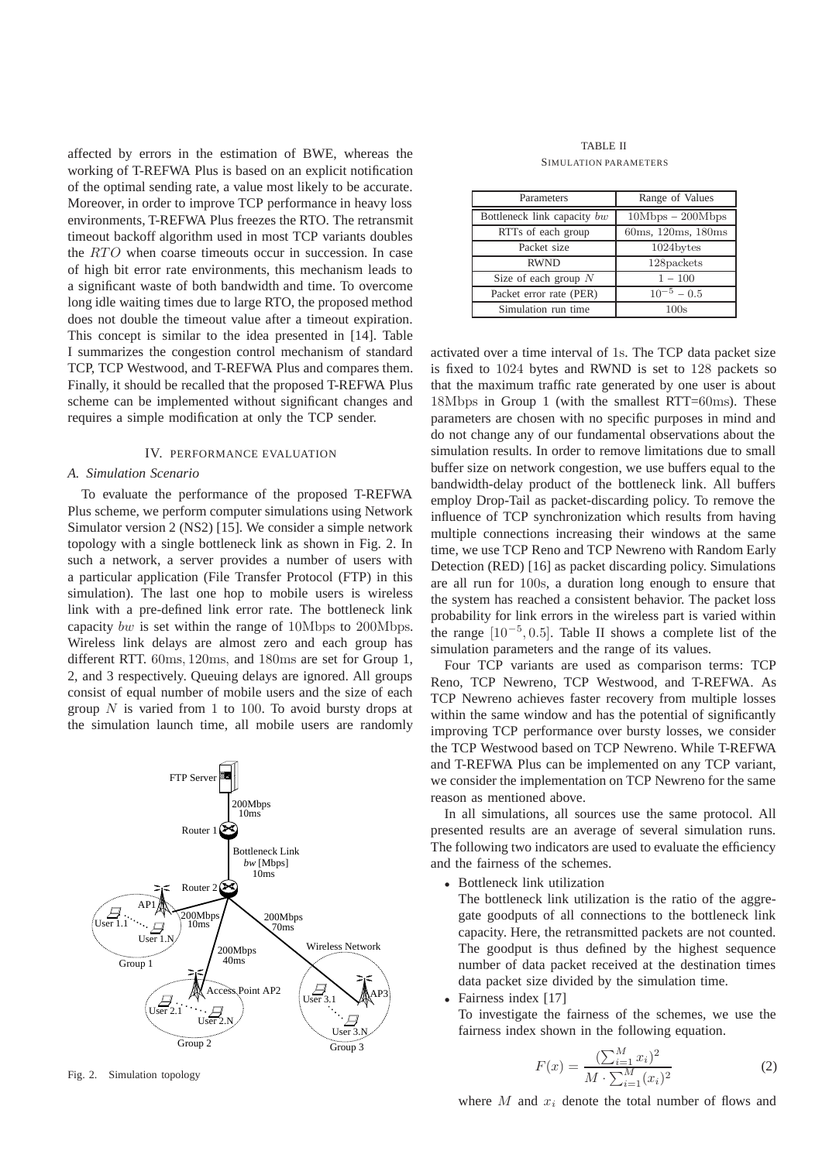affected by errors in the estimation of BWE, whereas the working of T-REFWA Plus is based on an explicit notification of the optimal sending rate, a value most likely to be accurate. Moreover, in order to improve TCP performance in heavy loss environments, T-REFWA Plus freezes the RTO. The retransmit timeout backoff algorithm used in most TCP variants doubles the  $RTO$  when coarse timeouts occur in succession. In case of high bit error rate environments, this mechanism leads to a significant waste of both bandwidth and time. To overcome long idle waiting times due to large RTO, the proposed method does not double the timeout value after a timeout expiration. This concept is similar to the idea presented in [14]. Table I summarizes the congestion control mechanism of standard TCP, TCP Westwood, and T-REFWA Plus and compares them. Finally, it should be recalled that the proposed T-REFWA Plus scheme can be implemented without significant changes and requires a simple modification at only the TCP sender.

#### IV. PERFORMANCE EVALUATION

### *A. Simulation Scenario*

To evaluate the performance of the proposed T-REFWA Plus scheme, we perform computer simulations using Network Simulator version 2 (NS2) [15]. We consider a simple network topology with a single bottleneck link as shown in Fig. 2. In such a network, a server provides a number of users with a particular application (File Transfer Protocol (FTP) in this simulation). The last one hop to mobile users is wireless link with a pre-defined link error rate. The bottleneck link capacity bw is set within the range of 10Mbps to 200Mbps. Wireless link delays are almost zero and each group has different RTT. 60ms, 120ms, and 180ms are set for Group 1, 2, and 3 respectively. Queuing delays are ignored. All groups consist of equal number of mobile users and the size of each group  $N$  is varied from 1 to 100. To avoid bursty drops at the simulation launch time, all mobile users are randomly



Fig. 2. Simulation topology

#### TABLE II SIMULATION PARAMETERS

| Parameters                  | Range of Values    |  |
|-----------------------------|--------------------|--|
| Bottleneck link capacity bw | $10Mbps - 200Mbps$ |  |
| RTTs of each group          | 60ms, 120ms, 180ms |  |
| Packet size                 | 1024bytes          |  |
| <b>RWND</b>                 | 128packets         |  |
| Size of each group $N$      | $1 - 100$          |  |
| Packet error rate (PER)     | $10^{-5} - 0.5$    |  |
| Simulation run time         | 100s               |  |

activated over a time interval of 1s. The TCP data packet size is fixed to 1024 bytes and RWND is set to 128 packets so that the maximum traffic rate generated by one user is about 18Mbps in Group 1 (with the smallest RTT=60ms). These parameters are chosen with no specific purposes in mind and do not change any of our fundamental observations about the simulation results. In order to remove limitations due to small buffer size on network congestion, we use buffers equal to the bandwidth-delay product of the bottleneck link. All buffers employ Drop-Tail as packet-discarding policy. To remove the influence of TCP synchronization which results from having multiple connections increasing their windows at the same time, we use TCP Reno and TCP Newreno with Random Early Detection (RED) [16] as packet discarding policy. Simulations are all run for 100s, a duration long enough to ensure that the system has reached a consistent behavior. The packet loss probability for link errors in the wireless part is varied within the range [10*−*<sup>5</sup>, 0.5]. Table II shows a complete list of the simulation parameters and the range of its values.

Four TCP variants are used as comparison terms: TCP Reno, TCP Newreno, TCP Westwood, and T-REFWA. As TCP Newreno achieves faster recovery from multiple losses within the same window and has the potential of significantly improving TCP performance over bursty losses, we consider the TCP Westwood based on TCP Newreno. While T-REFWA and T-REFWA Plus can be implemented on any TCP variant, we consider the implementation on TCP Newreno for the same reason as mentioned above.

In all simulations, all sources use the same protocol. All presented results are an average of several simulation runs. The following two indicators are used to evaluate the efficiency and the fairness of the schemes.

*•* Bottleneck link utilization

The bottleneck link utilization is the ratio of the aggregate goodputs of all connections to the bottleneck link capacity. Here, the retransmitted packets are not counted. The goodput is thus defined by the highest sequence number of data packet received at the destination times data packet size divided by the simulation time.

*•* Fairness index [17]

To investigate the fairness of the schemes, we use the fairness index shown in the following equation.

$$
F(x) = \frac{(\sum_{i=1}^{M} x_i)^2}{M \cdot \sum_{i=1}^{M} (x_i)^2}
$$
 (2)

where  $M$  and  $x_i$  denote the total number of flows and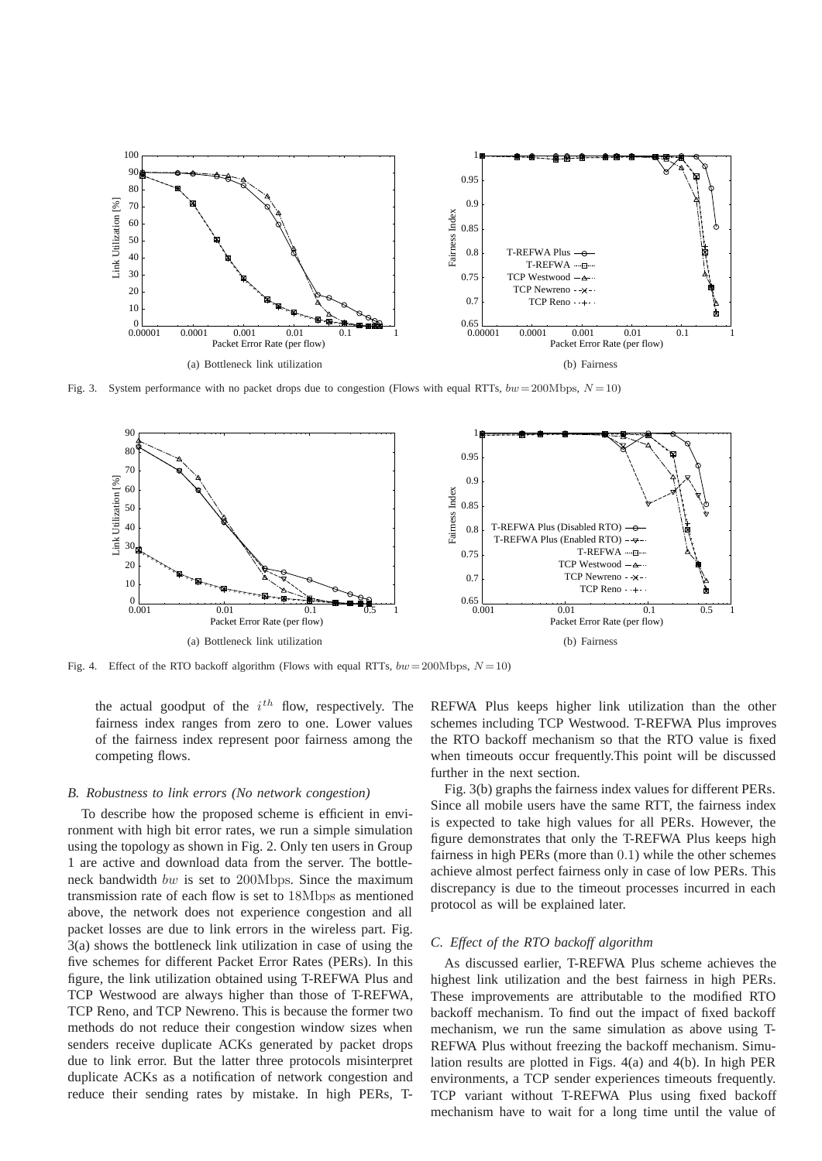

Fig. 3. System performance with no packet drops due to congestion (Flows with equal RTTs,  $bw = 200 \text{Mbps}$ ,  $N = 10$ )



Fig. 4. Effect of the RTO backoff algorithm (Flows with equal RTTs,  $bw = 200 \text{Mbps}, N = 10$ )

the actual goodput of the  $i<sup>th</sup>$  flow, respectively. The fairness index ranges from zero to one. Lower values of the fairness index represent poor fairness among the competing flows.

#### *B. Robustness to link errors (No network congestion)*

To describe how the proposed scheme is efficient in environment with high bit error rates, we run a simple simulation using the topology as shown in Fig. 2. Only ten users in Group 1 are active and download data from the server. The bottleneck bandwidth bw is set to 200Mbps. Since the maximum transmission rate of each flow is set to 18Mbps as mentioned above, the network does not experience congestion and all packet losses are due to link errors in the wireless part. Fig. 3(a) shows the bottleneck link utilization in case of using the five schemes for different Packet Error Rates (PERs). In this figure, the link utilization obtained using T-REFWA Plus and TCP Westwood are always higher than those of T-REFWA, TCP Reno, and TCP Newreno. This is because the former two methods do not reduce their congestion window sizes when senders receive duplicate ACKs generated by packet drops due to link error. But the latter three protocols misinterpret duplicate ACKs as a notification of network congestion and reduce their sending rates by mistake. In high PERs, T-

REFWA Plus keeps higher link utilization than the other schemes including TCP Westwood. T-REFWA Plus improves the RTO backoff mechanism so that the RTO value is fixed when timeouts occur frequently.This point will be discussed further in the next section.

Fig. 3(b) graphs the fairness index values for different PERs. Since all mobile users have the same RTT, the fairness index is expected to take high values for all PERs. However, the figure demonstrates that only the T-REFWA Plus keeps high fairness in high PERs (more than 0.1) while the other schemes achieve almost perfect fairness only in case of low PERs. This discrepancy is due to the timeout processes incurred in each protocol as will be explained later.

#### *C. Effect of the RTO backoff algorithm*

As discussed earlier, T-REFWA Plus scheme achieves the highest link utilization and the best fairness in high PERs. These improvements are attributable to the modified RTO backoff mechanism. To find out the impact of fixed backoff mechanism, we run the same simulation as above using T-REFWA Plus without freezing the backoff mechanism. Simulation results are plotted in Figs. 4(a) and 4(b). In high PER environments, a TCP sender experiences timeouts frequently. TCP variant without T-REFWA Plus using fixed backoff mechanism have to wait for a long time until the value of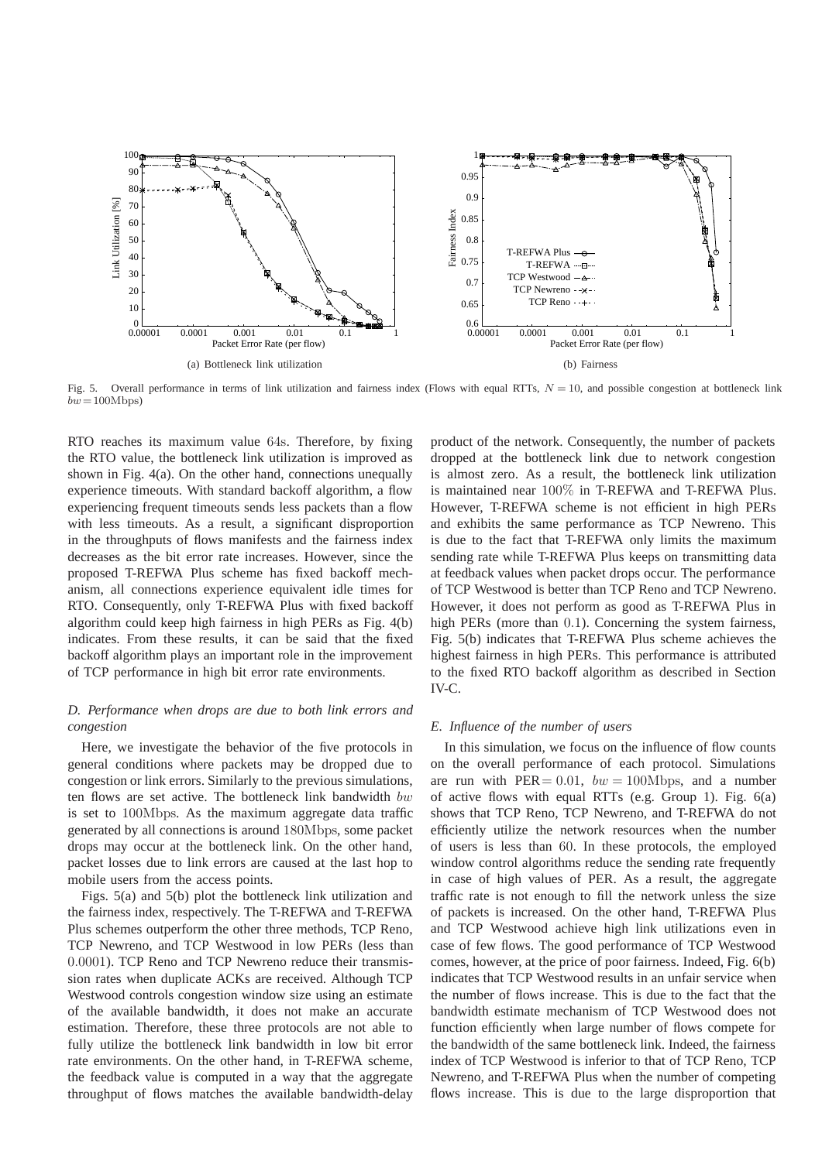

Fig. 5. Overall performance in terms of link utilization and fairness index (Flows with equal RTTs,  $N = 10$ , and possible congestion at bottleneck link  $bw = 100 \text{Mbps}$ 

RTO reaches its maximum value 64s. Therefore, by fixing the RTO value, the bottleneck link utilization is improved as shown in Fig. 4(a). On the other hand, connections unequally experience timeouts. With standard backoff algorithm, a flow experiencing frequent timeouts sends less packets than a flow with less timeouts. As a result, a significant disproportion in the throughputs of flows manifests and the fairness index decreases as the bit error rate increases. However, since the proposed T-REFWA Plus scheme has fixed backoff mechanism, all connections experience equivalent idle times for RTO. Consequently, only T-REFWA Plus with fixed backoff algorithm could keep high fairness in high PERs as Fig. 4(b) indicates. From these results, it can be said that the fixed backoff algorithm plays an important role in the improvement of TCP performance in high bit error rate environments.

## *D. Performance when drops are due to both link errors and congestion*

Here, we investigate the behavior of the five protocols in general conditions where packets may be dropped due to congestion or link errors. Similarly to the previous simulations, ten flows are set active. The bottleneck link bandwidth  $bw$ is set to 100Mbps. As the maximum aggregate data traffic generated by all connections is around 180Mbps, some packet drops may occur at the bottleneck link. On the other hand, packet losses due to link errors are caused at the last hop to mobile users from the access points.

Figs. 5(a) and 5(b) plot the bottleneck link utilization and the fairness index, respectively. The T-REFWA and T-REFWA Plus schemes outperform the other three methods, TCP Reno, TCP Newreno, and TCP Westwood in low PERs (less than 0.0001). TCP Reno and TCP Newreno reduce their transmission rates when duplicate ACKs are received. Although TCP Westwood controls congestion window size using an estimate of the available bandwidth, it does not make an accurate estimation. Therefore, these three protocols are not able to fully utilize the bottleneck link bandwidth in low bit error rate environments. On the other hand, in T-REFWA scheme, the feedback value is computed in a way that the aggregate throughput of flows matches the available bandwidth-delay product of the network. Consequently, the number of packets dropped at the bottleneck link due to network congestion is almost zero. As a result, the bottleneck link utilization is maintained near 100% in T-REFWA and T-REFWA Plus. However, T-REFWA scheme is not efficient in high PERs and exhibits the same performance as TCP Newreno. This is due to the fact that T-REFWA only limits the maximum sending rate while T-REFWA Plus keeps on transmitting data at feedback values when packet drops occur. The performance of TCP Westwood is better than TCP Reno and TCP Newreno. However, it does not perform as good as T-REFWA Plus in high PERs (more than 0.1). Concerning the system fairness, Fig. 5(b) indicates that T-REFWA Plus scheme achieves the highest fairness in high PERs. This performance is attributed to the fixed RTO backoff algorithm as described in Section IV-C.

## *E. Influence of the number of users*

In this simulation, we focus on the influence of flow counts on the overall performance of each protocol. Simulations are run with  $PER = 0.01$ ,  $bw = 100M$ bps, and a number of active flows with equal RTTs (e.g. Group 1). Fig. 6(a) shows that TCP Reno, TCP Newreno, and T-REFWA do not efficiently utilize the network resources when the number of users is less than 60. In these protocols, the employed window control algorithms reduce the sending rate frequently in case of high values of PER. As a result, the aggregate traffic rate is not enough to fill the network unless the size of packets is increased. On the other hand, T-REFWA Plus and TCP Westwood achieve high link utilizations even in case of few flows. The good performance of TCP Westwood comes, however, at the price of poor fairness. Indeed, Fig. 6(b) indicates that TCP Westwood results in an unfair service when the number of flows increase. This is due to the fact that the bandwidth estimate mechanism of TCP Westwood does not function efficiently when large number of flows compete for the bandwidth of the same bottleneck link. Indeed, the fairness index of TCP Westwood is inferior to that of TCP Reno, TCP Newreno, and T-REFWA Plus when the number of competing flows increase. This is due to the large disproportion that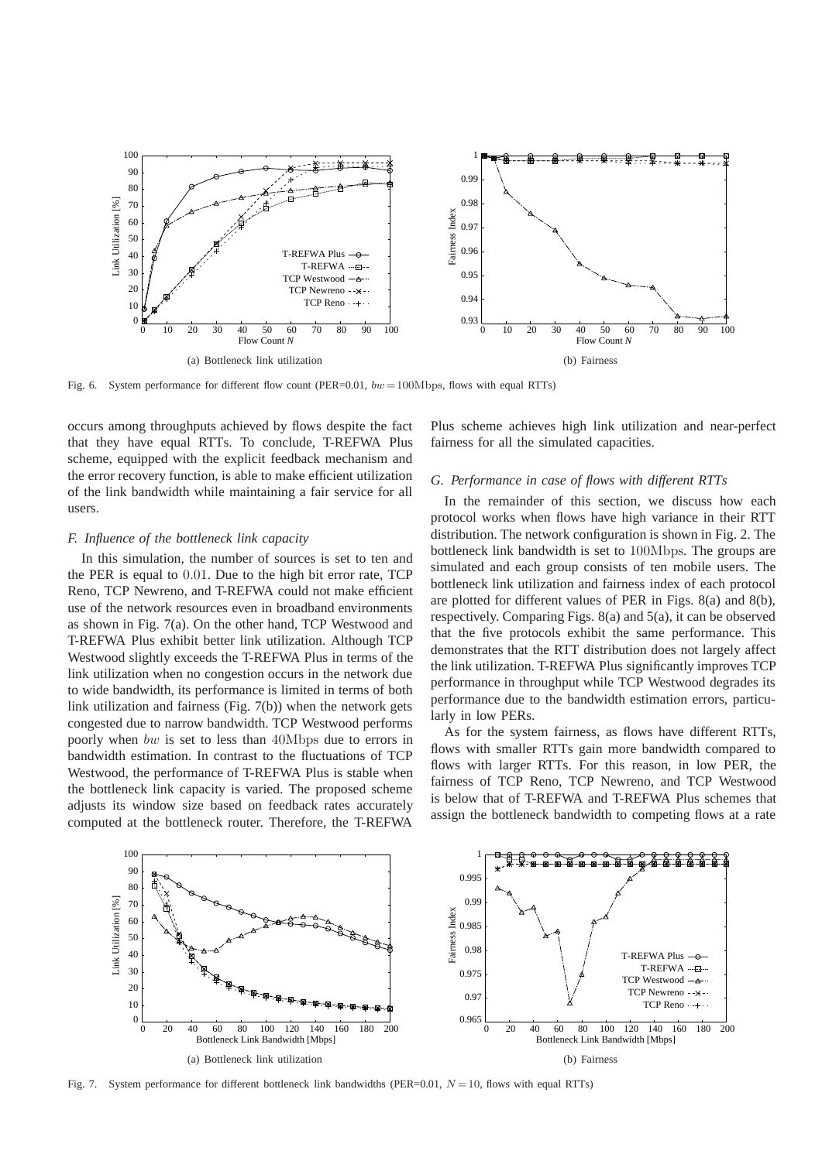

Fig. 6. System performance for different flow count (PER=0.01,  $bw = 100 \text{Mbps}$ , flows with equal RTTs)

occurs among throughputs achieved by flows despite the fact that they have equal RTTs. To conclude, T-REFWA Plus scheme, equipped with the explicit feedback mechanism and the error recovery function, is able to make efficient utilization of the link bandwidth while maintaining a fair service for all users.

## *F. Influence of the bottleneck link capacity*

In this simulation, the number of sources is set to ten and the PER is equal to 0.01. Due to the high bit error rate, TCP Reno, TCP Newreno, and T-REFWA could not make efficient use of the network resources even in broadband environments as shown in Fig. 7(a). On the other hand, TCP Westwood and T-REFWA Plus exhibit better link utilization. Although TCP Westwood slightly exceeds the T-REFWA Plus in terms of the link utilization when no congestion occurs in the network due to wide bandwidth, its performance is limited in terms of both link utilization and fairness (Fig. 7(b)) when the network gets congested due to narrow bandwidth. TCP Westwood performs poorly when bw is set to less than 40Mbps due to errors in bandwidth estimation. In contrast to the fluctuations of TCP Westwood, the performance of T-REFWA Plus is stable when the bottleneck link capacity is varied. The proposed scheme adjusts its window size based on feedback rates accurately computed at the bottleneck router. Therefore, the T-REFWA

Plus scheme achieves high link utilization and near-perfect fairness for all the simulated capacities.

## *G. Performance in case of flows with different RTTs*

In the remainder of this section, we discuss how each protocol works when flows have high variance in their RTT distribution. The network configuration is shown in Fig. 2. The bottleneck link bandwidth is set to 100Mbps. The groups are simulated and each group consists of ten mobile users. The bottleneck link utilization and fairness index of each protocol are plotted for different values of PER in Figs. 8(a) and 8(b), respectively. Comparing Figs. 8(a) and 5(a), it can be observed that the five protocols exhibit the same performance. This demonstrates that the RTT distribution does not largely affect the link utilization. T-REFWA Plus significantly improves TCP performance in throughput while TCP Westwood degrades its performance due to the bandwidth estimation errors, particularly in low PERs.

As for the system fairness, as flows have different RTTs, flows with smaller RTTs gain more bandwidth compared to flows with larger RTTs. For this reason, in low PER, the fairness of TCP Reno, TCP Newreno, and TCP Westwood is below that of T-REFWA and T-REFWA Plus schemes that assign the bottleneck bandwidth to competing flows at a rate



Fig. 7. System performance for different bottleneck link bandwidths (PER=0.01,  $N = 10$ , flows with equal RTTs)